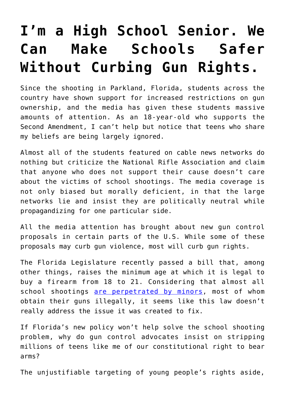## **[I'm a High School Senior. We](https://intellectualtakeout.org/2018/03/im-a-high-school-senior-we-can-make-schools-safer-without-curbing-gun-rights/) [Can Make Schools Safer](https://intellectualtakeout.org/2018/03/im-a-high-school-senior-we-can-make-schools-safer-without-curbing-gun-rights/) [Without Curbing Gun Rights.](https://intellectualtakeout.org/2018/03/im-a-high-school-senior-we-can-make-schools-safer-without-curbing-gun-rights/)**

Since the shooting in Parkland, Florida, students across the country have shown support for increased restrictions on gun ownership, and the media has given these students massive amounts of attention. As an 18-year-old who supports the Second Amendment, I can't help but notice that teens who share my beliefs are being largely ignored.

Almost all of the students featured on cable news networks do nothing but criticize the National Rifle Association and claim that anyone who does not support their cause doesn't care about the victims of school shootings. The media coverage is not only biased but morally deficient, in that the large networks lie and insist they are politically neutral while propagandizing for one particular side.

All the media attention has brought about new gun control proposals in certain parts of the U.S. While some of these proposals may curb gun violence, most will curb gun rights.

The Florida Legislature recently passed a bill that, among other things, raises the minimum age at which it is legal to buy a firearm from 18 to 21. Considering that almost all school shootings [are perpetrated by minors,](https://protect-us.mimecast.com/s/vdB2ClYM4lsoGmEGS11vgc?domain=everytownresearch.org) most of whom obtain their guns illegally, it seems like this law doesn't really address the issue it was created to fix.

If Florida's new policy won't help solve the school shooting problem, why do gun control advocates insist on stripping millions of teens like me of our constitutional right to bear arms?

The unjustifiable targeting of young people's rights aside,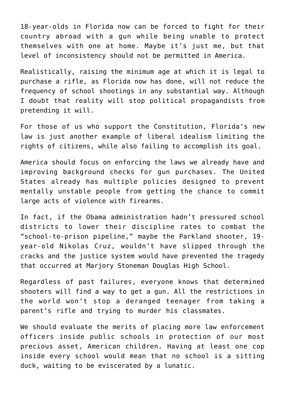18-year-olds in Florida now can be forced to fight for their country abroad with a gun while being unable to protect themselves with one at home. Maybe it's just me, but that level of inconsistency should not be permitted in America.

Realistically, raising the minimum age at which it is legal to purchase a rifle, as Florida now has done, will not reduce the frequency of school shootings in any substantial way. Although I doubt that reality will stop political propagandists from pretending it will.

For those of us who support the Constitution, Florida's new law is just another example of liberal idealism limiting the rights of citizens, while also failing to accomplish its goal.

America should focus on enforcing the laws we already have and improving background checks for gun purchases. The United States already has multiple policies designed to prevent mentally unstable people from getting the chance to commit large acts of violence with firearms.

In fact, if the Obama administration hadn't pressured school districts to lower their discipline rates to combat the "school-to-prison pipeline," maybe the Parkland shooter, 19 year-old Nikolas Cruz, wouldn't have slipped through the cracks and the justice system would have prevented the tragedy that occurred at Marjory Stoneman Douglas High School.

Regardless of past failures, everyone knows that determined shooters will find a way to get a gun. All the restrictions in the world won't stop a deranged teenager from taking a parent's rifle and trying to murder his classmates.

We should evaluate the merits of placing more law enforcement officers inside public schools in protection of our most precious asset, American children. Having at least one cop inside every school would mean that no school is a sitting duck, waiting to be eviscerated by a lunatic.